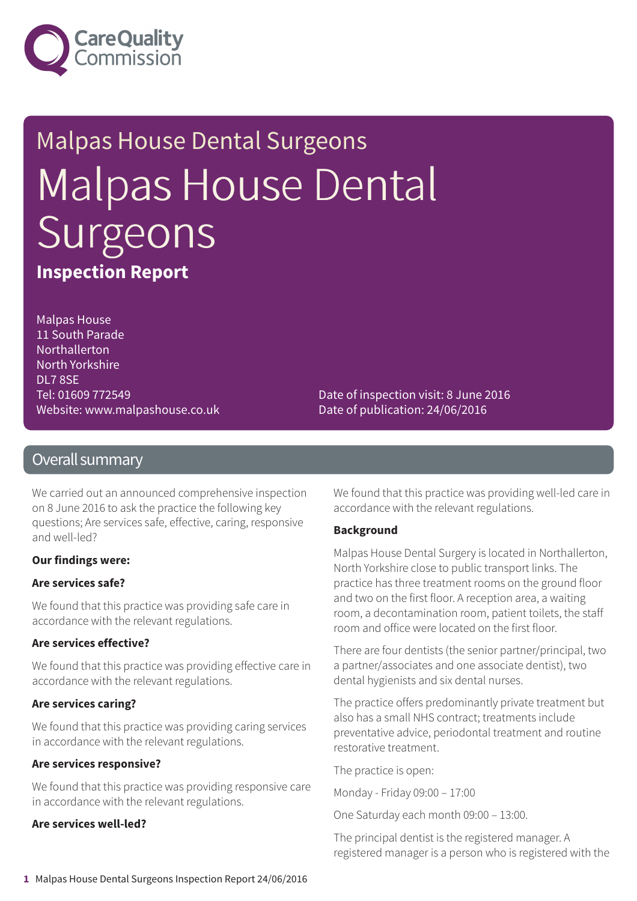

# Malpas House Dental Surgeons Malpas House Dental Surgeons **Inspection Report**

Malpas House 11 South Parade Northallerton North Yorkshire DL7 8SE Tel: 01609 772549 Website: www.malpashouse.co.uk

Date of inspection visit: 8 June 2016 Date of publication: 24/06/2016

#### Overall summary

We carried out an announced comprehensive inspection on 8 June 2016 to ask the practice the following key questions; Are services safe, effective, caring, responsive and well-led?

#### **Our findings were:**

#### **Are services safe?**

We found that this practice was providing safe care in accordance with the relevant regulations.

#### **Are services effective?**

We found that this practice was providing effective care in accordance with the relevant regulations.

#### **Are services caring?**

We found that this practice was providing caring services in accordance with the relevant regulations.

#### **Are services responsive?**

We found that this practice was providing responsive care in accordance with the relevant regulations.

#### **Are services well-led?**

We found that this practice was providing well-led care in accordance with the relevant regulations.

#### **Background**

Malpas House Dental Surgery is located in Northallerton, North Yorkshire close to public transport links. The practice has three treatment rooms on the ground floor and two on the first floor. A reception area, a waiting room, a decontamination room, patient toilets, the staff room and office were located on the first floor.

There are four dentists (the senior partner/principal, two a partner/associates and one associate dentist), two dental hygienists and six dental nurses.

The practice offers predominantly private treatment but also has a small NHS contract; treatments include preventative advice, periodontal treatment and routine restorative treatment.

The practice is open:

Monday - Friday 09:00 – 17:00

One Saturday each month 09:00 – 13:00.

The principal dentist is the registered manager. A registered manager is a person who is registered with the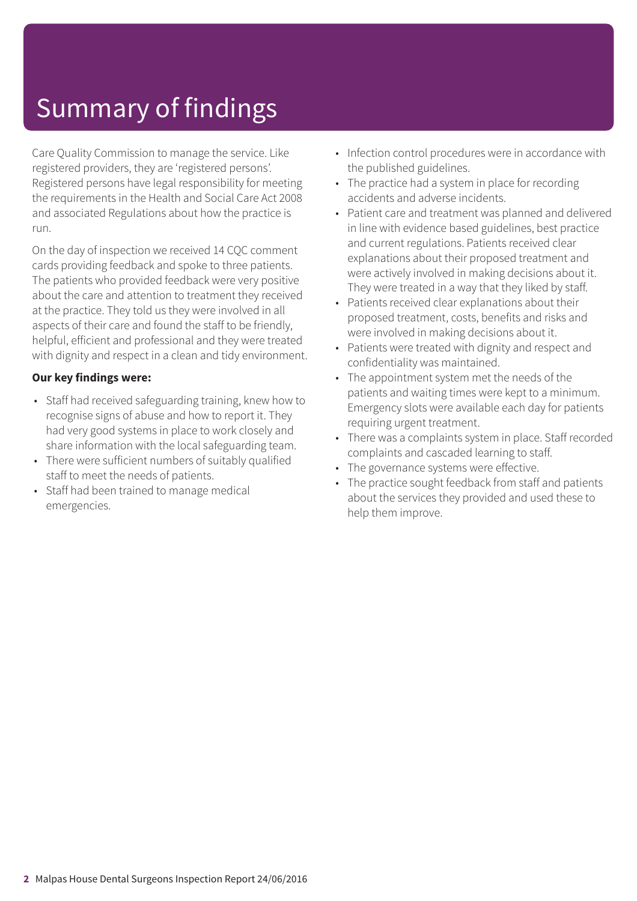# Summary of findings

Care Quality Commission to manage the service. Like registered providers, they are 'registered persons'. Registered persons have legal responsibility for meeting the requirements in the Health and Social Care Act 2008 and associated Regulations about how the practice is run.

On the day of inspection we received 14 CQC comment cards providing feedback and spoke to three patients. The patients who provided feedback were very positive about the care and attention to treatment they received at the practice. They told us they were involved in all aspects of their care and found the staff to be friendly, helpful, efficient and professional and they were treated with dignity and respect in a clean and tidy environment.

#### **Our key findings were:**

- Staff had received safeguarding training, knew how to recognise signs of abuse and how to report it. They had very good systems in place to work closely and share information with the local safeguarding team.
- There were sufficient numbers of suitably qualified staff to meet the needs of patients.
- Staff had been trained to manage medical emergencies.
- Infection control procedures were in accordance with the published guidelines.
- The practice had a system in place for recording accidents and adverse incidents.
- Patient care and treatment was planned and delivered in line with evidence based guidelines, best practice and current regulations. Patients received clear explanations about their proposed treatment and were actively involved in making decisions about it. They were treated in a way that they liked by staff.
- Patients received clear explanations about their proposed treatment, costs, benefits and risks and were involved in making decisions about it.
- Patients were treated with dignity and respect and confidentiality was maintained.
- The appointment system met the needs of the patients and waiting times were kept to a minimum. Emergency slots were available each day for patients requiring urgent treatment.
- There was a complaints system in place. Staff recorded complaints and cascaded learning to staff.
- The governance systems were effective.
- The practice sought feedback from staff and patients about the services they provided and used these to help them improve.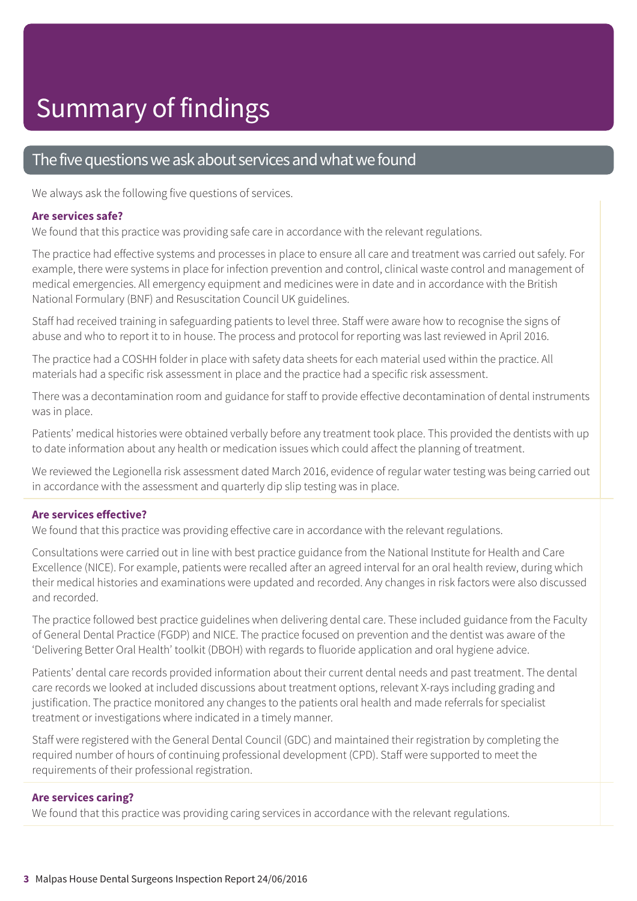#### The five questions we ask about services and what we found

We always ask the following five questions of services.

#### **Are services safe?**

We found that this practice was providing safe care in accordance with the relevant regulations.

The practice had effective systems and processes in place to ensure all care and treatment was carried out safely. For example, there were systems in place for infection prevention and control, clinical waste control and management of medical emergencies. All emergency equipment and medicines were in date and in accordance with the British National Formulary (BNF) and Resuscitation Council UK guidelines.

Staff had received training in safeguarding patients to level three. Staff were aware how to recognise the signs of abuse and who to report it to in house. The process and protocol for reporting was last reviewed in April 2016.

The practice had a COSHH folder in place with safety data sheets for each material used within the practice. All materials had a specific risk assessment in place and the practice had a specific risk assessment.

There was a decontamination room and guidance for staff to provide effective decontamination of dental instruments was in place.

Patients' medical histories were obtained verbally before any treatment took place. This provided the dentists with up to date information about any health or medication issues which could affect the planning of treatment.

We reviewed the Legionella risk assessment dated March 2016, evidence of regular water testing was being carried out in accordance with the assessment and quarterly dip slip testing was in place.

#### **Are services effective?**

We found that this practice was providing effective care in accordance with the relevant regulations.

Consultations were carried out in line with best practice guidance from the National Institute for Health and Care Excellence (NICE). For example, patients were recalled after an agreed interval for an oral health review, during which their medical histories and examinations were updated and recorded. Any changes in risk factors were also discussed and recorded.

The practice followed best practice guidelines when delivering dental care. These included guidance from the Faculty of General Dental Practice (FGDP) and NICE. The practice focused on prevention and the dentist was aware of the 'Delivering Better Oral Health' toolkit (DBOH) with regards to fluoride application and oral hygiene advice.

Patients' dental care records provided information about their current dental needs and past treatment. The dental care records we looked at included discussions about treatment options, relevant X-rays including grading and justification. The practice monitored any changes to the patients oral health and made referrals for specialist treatment or investigations where indicated in a timely manner.

Staff were registered with the General Dental Council (GDC) and maintained their registration by completing the required number of hours of continuing professional development (CPD). Staff were supported to meet the requirements of their professional registration.

#### **Are services caring?**

We found that this practice was providing caring services in accordance with the relevant regulations.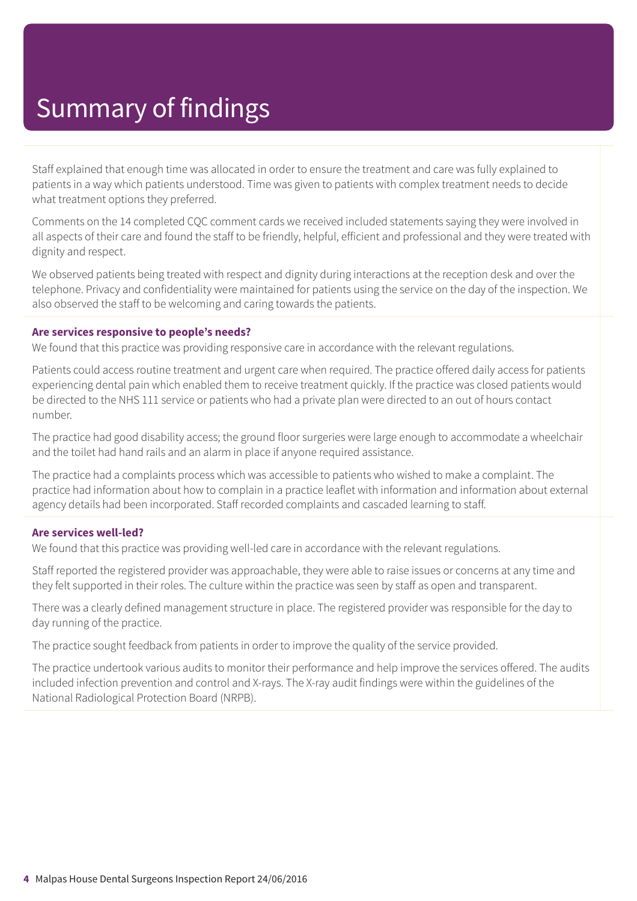# Summary of findings

Staff explained that enough time was allocated in order to ensure the treatment and care was fully explained to patients in a way which patients understood. Time was given to patients with complex treatment needs to decide what treatment options they preferred.

Comments on the 14 completed CQC comment cards we received included statements saying they were involved in all aspects of their care and found the staff to be friendly, helpful, efficient and professional and they were treated with dignity and respect.

We observed patients being treated with respect and dignity during interactions at the reception desk and over the telephone. Privacy and confidentiality were maintained for patients using the service on the day of the inspection. We also observed the staff to be welcoming and caring towards the patients.

#### **Are services responsive to people's needs?**

We found that this practice was providing responsive care in accordance with the relevant regulations.

Patients could access routine treatment and urgent care when required. The practice offered daily access for patients experiencing dental pain which enabled them to receive treatment quickly. If the practice was closed patients would be directed to the NHS 111 service or patients who had a private plan were directed to an out of hours contact number.

The practice had good disability access; the ground floor surgeries were large enough to accommodate a wheelchair and the toilet had hand rails and an alarm in place if anyone required assistance.

The practice had a complaints process which was accessible to patients who wished to make a complaint. The practice had information about how to complain in a practice leaflet with information and information about external agency details had been incorporated. Staff recorded complaints and cascaded learning to staff.

#### **Are services well-led?**

We found that this practice was providing well-led care in accordance with the relevant regulations.

Staff reported the registered provider was approachable, they were able to raise issues or concerns at any time and they felt supported in their roles. The culture within the practice was seen by staff as open and transparent.

There was a clearly defined management structure in place. The registered provider was responsible for the day to day running of the practice.

The practice sought feedback from patients in order to improve the quality of the service provided.

The practice undertook various audits to monitor their performance and help improve the services offered. The audits included infection prevention and control and X-rays. The X-ray audit findings were within the guidelines of the National Radiological Protection Board (NRPB).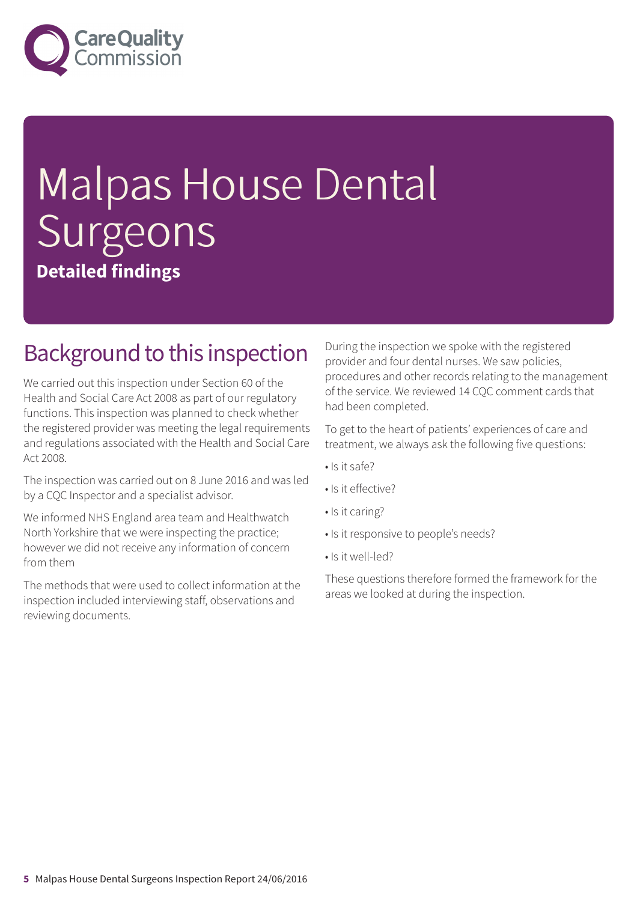

# Malpas House Dental Surgeons **Detailed findings**

### Background to this inspection

We carried out this inspection under Section 60 of the Health and Social Care Act 2008 as part of our regulatory functions. This inspection was planned to check whether the registered provider was meeting the legal requirements and regulations associated with the Health and Social Care Act 2008.

The inspection was carried out on 8 June 2016 and was led by a CQC Inspector and a specialist advisor.

We informed NHS England area team and Healthwatch North Yorkshire that we were inspecting the practice; however we did not receive any information of concern from them

The methods that were used to collect information at the inspection included interviewing staff, observations and reviewing documents.

During the inspection we spoke with the registered provider and four dental nurses. We saw policies, procedures and other records relating to the management of the service. We reviewed 14 CQC comment cards that had been completed.

To get to the heart of patients' experiences of care and treatment, we always ask the following five questions:

- Is it safe?
- Is it effective?
- Is it caring?
- Is it responsive to people's needs?
- Is it well-led?

These questions therefore formed the framework for the areas we looked at during the inspection.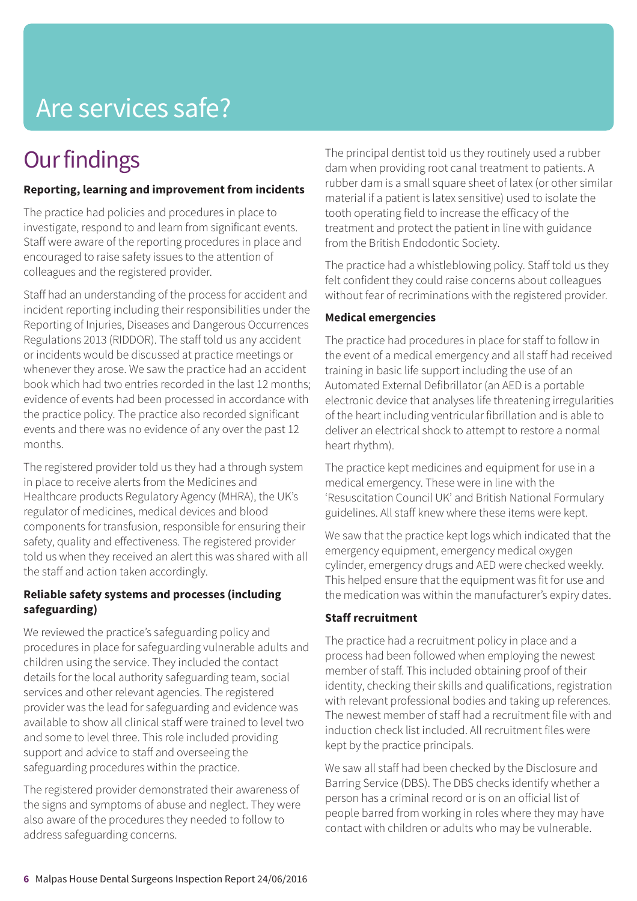# Are services safe?

## **Our findings**

#### **Reporting, learning and improvement from incidents**

The practice had policies and procedures in place to investigate, respond to and learn from significant events. Staff were aware of the reporting procedures in place and encouraged to raise safety issues to the attention of colleagues and the registered provider.

Staff had an understanding of the process for accident and incident reporting including their responsibilities under the Reporting of Injuries, Diseases and Dangerous Occurrences Regulations 2013 (RIDDOR). The staff told us any accident or incidents would be discussed at practice meetings or whenever they arose. We saw the practice had an accident book which had two entries recorded in the last 12 months; evidence of events had been processed in accordance with the practice policy. The practice also recorded significant events and there was no evidence of any over the past 12 months.

The registered provider told us they had a through system in place to receive alerts from the Medicines and Healthcare products Regulatory Agency (MHRA), the UK's regulator of medicines, medical devices and blood components for transfusion, responsible for ensuring their safety, quality and effectiveness. The registered provider told us when they received an alert this was shared with all the staff and action taken accordingly.

#### **Reliable safety systems and processes (including safeguarding)**

We reviewed the practice's safeguarding policy and procedures in place for safeguarding vulnerable adults and children using the service. They included the contact details for the local authority safeguarding team, social services and other relevant agencies. The registered provider was the lead for safeguarding and evidence was available to show all clinical staff were trained to level two and some to level three. This role included providing support and advice to staff and overseeing the safeguarding procedures within the practice.

The registered provider demonstrated their awareness of the signs and symptoms of abuse and neglect. They were also aware of the procedures they needed to follow to address safeguarding concerns.

The principal dentist told us they routinely used a rubber dam when providing root canal treatment to patients. A rubber dam is a small square sheet of latex (or other similar material if a patient is latex sensitive) used to isolate the tooth operating field to increase the efficacy of the treatment and protect the patient in line with guidance from the British Endodontic Society.

The practice had a whistleblowing policy. Staff told us they felt confident they could raise concerns about colleagues without fear of recriminations with the registered provider.

#### **Medical emergencies**

The practice had procedures in place for staff to follow in the event of a medical emergency and all staff had received training in basic life support including the use of an Automated External Defibrillator (an AED is a portable electronic device that analyses life threatening irregularities of the heart including ventricular fibrillation and is able to deliver an electrical shock to attempt to restore a normal heart rhythm).

The practice kept medicines and equipment for use in a medical emergency. These were in line with the 'Resuscitation Council UK' and British National Formulary guidelines. All staff knew where these items were kept.

We saw that the practice kept logs which indicated that the emergency equipment, emergency medical oxygen cylinder, emergency drugs and AED were checked weekly. This helped ensure that the equipment was fit for use and the medication was within the manufacturer's expiry dates.

#### **Staff recruitment**

The practice had a recruitment policy in place and a process had been followed when employing the newest member of staff. This included obtaining proof of their identity, checking their skills and qualifications, registration with relevant professional bodies and taking up references. The newest member of staff had a recruitment file with and induction check list included. All recruitment files were kept by the practice principals.

We saw all staff had been checked by the Disclosure and Barring Service (DBS). The DBS checks identify whether a person has a criminal record or is on an official list of people barred from working in roles where they may have contact with children or adults who may be vulnerable.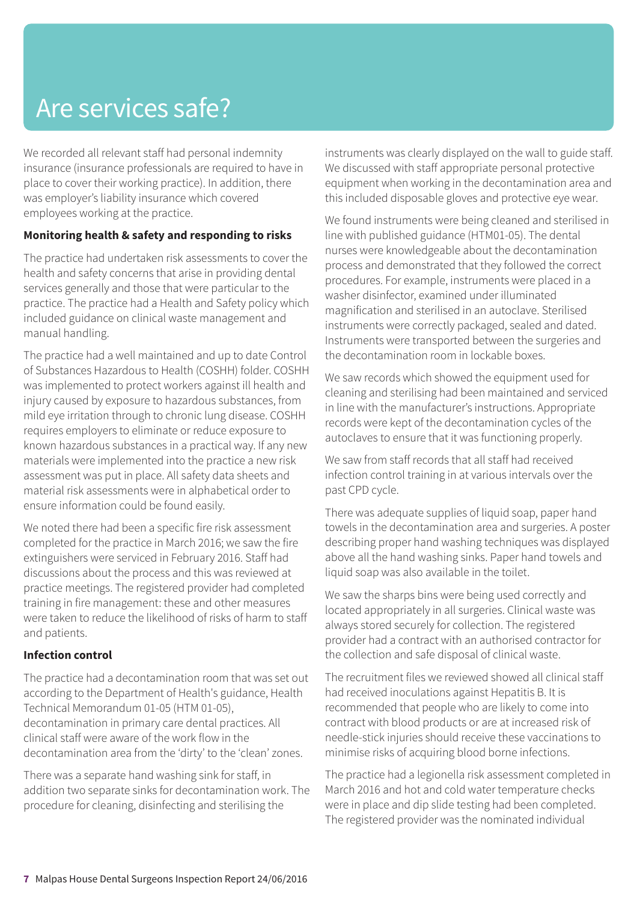# Are services safe?

We recorded all relevant staff had personal indemnity insurance (insurance professionals are required to have in place to cover their working practice). In addition, there was employer's liability insurance which covered employees working at the practice.

#### **Monitoring health & safety and responding to risks**

The practice had undertaken risk assessments to cover the health and safety concerns that arise in providing dental services generally and those that were particular to the practice. The practice had a Health and Safety policy which included guidance on clinical waste management and manual handling.

The practice had a well maintained and up to date Control of Substances Hazardous to Health (COSHH) folder. COSHH was implemented to protect workers against ill health and injury caused by exposure to hazardous substances, from mild eye irritation through to chronic lung disease. COSHH requires employers to eliminate or reduce exposure to known hazardous substances in a practical way. If any new materials were implemented into the practice a new risk assessment was put in place. All safety data sheets and material risk assessments were in alphabetical order to ensure information could be found easily.

We noted there had been a specific fire risk assessment completed for the practice in March 2016; we saw the fire extinguishers were serviced in February 2016. Staff had discussions about the process and this was reviewed at practice meetings. The registered provider had completed training in fire management: these and other measures were taken to reduce the likelihood of risks of harm to staff and patients.

#### **Infection control**

The practice had a decontamination room that was set out according to the Department of Health's guidance, Health Technical Memorandum 01-05 (HTM 01-05), decontamination in primary care dental practices. All clinical staff were aware of the work flow in the decontamination area from the 'dirty' to the 'clean' zones.

There was a separate hand washing sink for staff, in addition two separate sinks for decontamination work. The procedure for cleaning, disinfecting and sterilising the

instruments was clearly displayed on the wall to guide staff. We discussed with staff appropriate personal protective equipment when working in the decontamination area and this included disposable gloves and protective eye wear.

We found instruments were being cleaned and sterilised in line with published guidance (HTM01-05). The dental nurses were knowledgeable about the decontamination process and demonstrated that they followed the correct procedures. For example, instruments were placed in a washer disinfector, examined under illuminated magnification and sterilised in an autoclave. Sterilised instruments were correctly packaged, sealed and dated. Instruments were transported between the surgeries and the decontamination room in lockable boxes.

We saw records which showed the equipment used for cleaning and sterilising had been maintained and serviced in line with the manufacturer's instructions. Appropriate records were kept of the decontamination cycles of the autoclaves to ensure that it was functioning properly.

We saw from staff records that all staff had received infection control training in at various intervals over the past CPD cycle.

There was adequate supplies of liquid soap, paper hand towels in the decontamination area and surgeries. A poster describing proper hand washing techniques was displayed above all the hand washing sinks. Paper hand towels and liquid soap was also available in the toilet.

We saw the sharps bins were being used correctly and located appropriately in all surgeries. Clinical waste was always stored securely for collection. The registered provider had a contract with an authorised contractor for the collection and safe disposal of clinical waste.

The recruitment files we reviewed showed all clinical staff had received inoculations against Hepatitis B. It is recommended that people who are likely to come into contract with blood products or are at increased risk of needle-stick injuries should receive these vaccinations to minimise risks of acquiring blood borne infections.

The practice had a legionella risk assessment completed in March 2016 and hot and cold water temperature checks were in place and dip slide testing had been completed. The registered provider was the nominated individual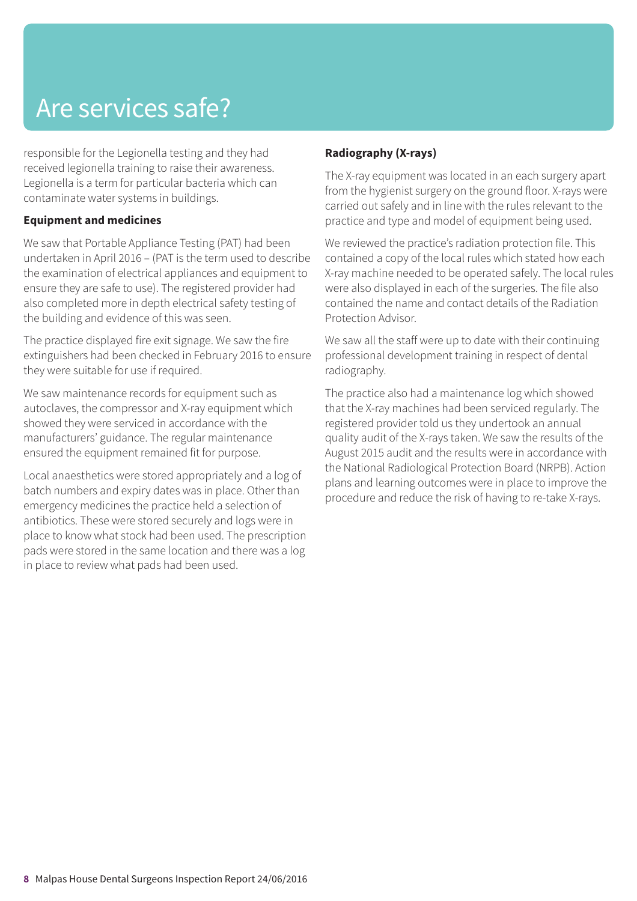# Are services safe?

responsible for the Legionella testing and they had received legionella training to raise their awareness. Legionella is a term for particular bacteria which can contaminate water systems in buildings.

#### **Equipment and medicines**

We saw that Portable Appliance Testing (PAT) had been undertaken in April 2016 – (PAT is the term used to describe the examination of electrical appliances and equipment to ensure they are safe to use). The registered provider had also completed more in depth electrical safety testing of the building and evidence of this was seen.

The practice displayed fire exit signage. We saw the fire extinguishers had been checked in February 2016 to ensure they were suitable for use if required.

We saw maintenance records for equipment such as autoclaves, the compressor and X-ray equipment which showed they were serviced in accordance with the manufacturers' guidance. The regular maintenance ensured the equipment remained fit for purpose.

Local anaesthetics were stored appropriately and a log of batch numbers and expiry dates was in place. Other than emergency medicines the practice held a selection of antibiotics. These were stored securely and logs were in place to know what stock had been used. The prescription pads were stored in the same location and there was a log in place to review what pads had been used.

#### **Radiography (X-rays)**

The X-ray equipment was located in an each surgery apart from the hygienist surgery on the ground floor. X-rays were carried out safely and in line with the rules relevant to the practice and type and model of equipment being used.

We reviewed the practice's radiation protection file. This contained a copy of the local rules which stated how each X-ray machine needed to be operated safely. The local rules were also displayed in each of the surgeries. The file also contained the name and contact details of the Radiation Protection Advisor.

We saw all the staff were up to date with their continuing professional development training in respect of dental radiography.

The practice also had a maintenance log which showed that the X-ray machines had been serviced regularly. The registered provider told us they undertook an annual quality audit of the X-rays taken. We saw the results of the August 2015 audit and the results were in accordance with the National Radiological Protection Board (NRPB). Action plans and learning outcomes were in place to improve the procedure and reduce the risk of having to re-take X-rays.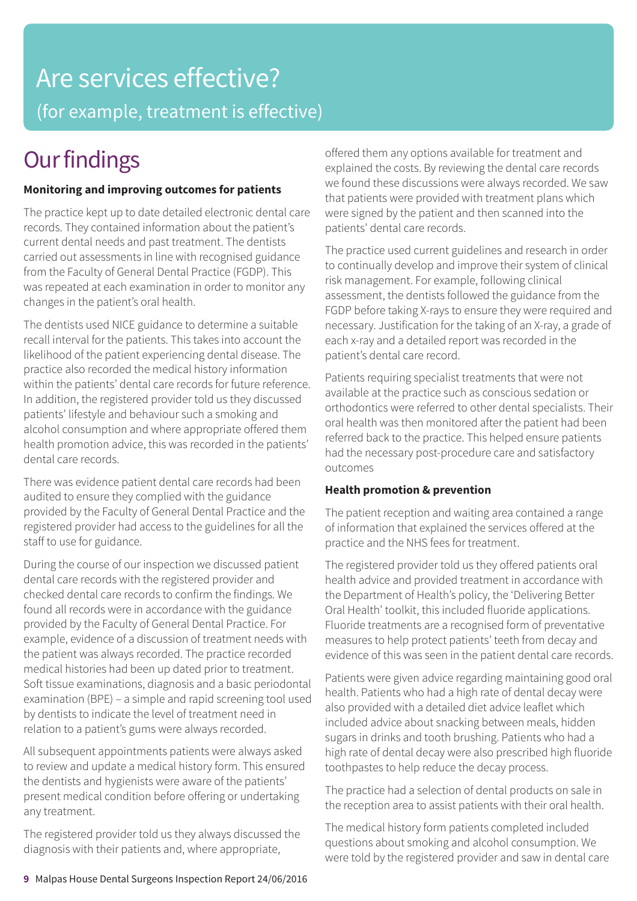# Are services effective? (for example, treatment is effective)

# **Our findings**

#### **Monitoring and improving outcomes for patients**

The practice kept up to date detailed electronic dental care records. They contained information about the patient's current dental needs and past treatment. The dentists carried out assessments in line with recognised guidance from the Faculty of General Dental Practice (FGDP). This was repeated at each examination in order to monitor any changes in the patient's oral health.

The dentists used NICE guidance to determine a suitable recall interval for the patients. This takes into account the likelihood of the patient experiencing dental disease. The practice also recorded the medical history information within the patients' dental care records for future reference. In addition, the registered provider told us they discussed patients' lifestyle and behaviour such a smoking and alcohol consumption and where appropriate offered them health promotion advice, this was recorded in the patients' dental care records.

There was evidence patient dental care records had been audited to ensure they complied with the guidance provided by the Faculty of General Dental Practice and the registered provider had access to the guidelines for all the staff to use for guidance.

During the course of our inspection we discussed patient dental care records with the registered provider and checked dental care records to confirm the findings. We found all records were in accordance with the guidance provided by the Faculty of General Dental Practice. For example, evidence of a discussion of treatment needs with the patient was always recorded. The practice recorded medical histories had been up dated prior to treatment. Soft tissue examinations, diagnosis and a basic periodontal examination (BPE) – a simple and rapid screening tool used by dentists to indicate the level of treatment need in relation to a patient's gums were always recorded.

All subsequent appointments patients were always asked to review and update a medical history form. This ensured the dentists and hygienists were aware of the patients' present medical condition before offering or undertaking any treatment.

The registered provider told us they always discussed the diagnosis with their patients and, where appropriate,

offered them any options available for treatment and explained the costs. By reviewing the dental care records we found these discussions were always recorded. We saw that patients were provided with treatment plans which were signed by the patient and then scanned into the patients' dental care records.

The practice used current guidelines and research in order to continually develop and improve their system of clinical risk management. For example, following clinical assessment, the dentists followed the guidance from the FGDP before taking X-rays to ensure they were required and necessary. Justification for the taking of an X-ray, a grade of each x-ray and a detailed report was recorded in the patient's dental care record.

Patients requiring specialist treatments that were not available at the practice such as conscious sedation or orthodontics were referred to other dental specialists. Their oral health was then monitored after the patient had been referred back to the practice. This helped ensure patients had the necessary post-procedure care and satisfactory outcomes

#### **Health promotion & prevention**

The patient reception and waiting area contained a range of information that explained the services offered at the practice and the NHS fees for treatment.

The registered provider told us they offered patients oral health advice and provided treatment in accordance with the Department of Health's policy, the 'Delivering Better Oral Health' toolkit, this included fluoride applications. Fluoride treatments are a recognised form of preventative measures to help protect patients' teeth from decay and evidence of this was seen in the patient dental care records.

Patients were given advice regarding maintaining good oral health. Patients who had a high rate of dental decay were also provided with a detailed diet advice leaflet which included advice about snacking between meals, hidden sugars in drinks and tooth brushing. Patients who had a high rate of dental decay were also prescribed high fluoride toothpastes to help reduce the decay process.

The practice had a selection of dental products on sale in the reception area to assist patients with their oral health.

The medical history form patients completed included questions about smoking and alcohol consumption. We were told by the registered provider and saw in dental care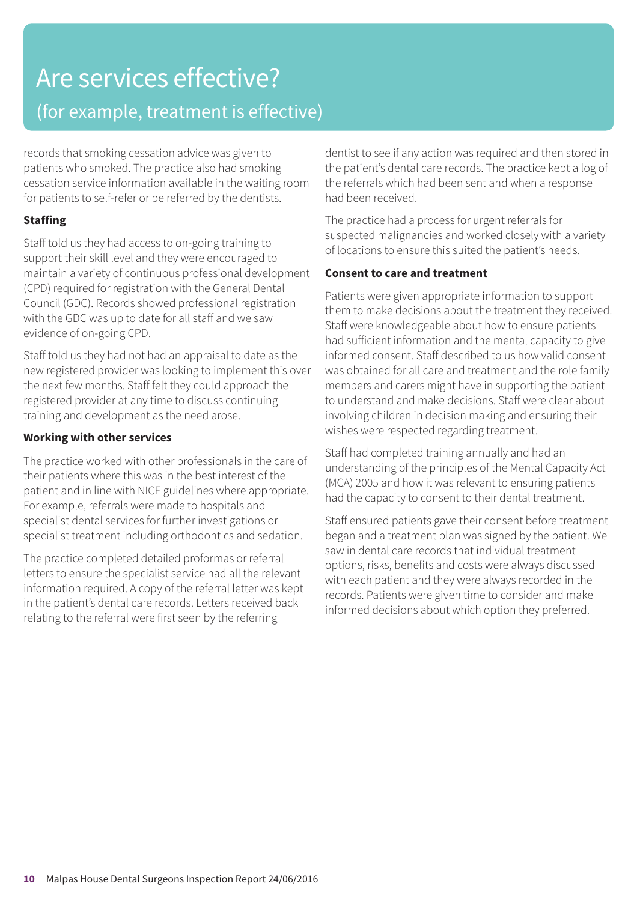## Are services effective? (for example, treatment is effective)

records that smoking cessation advice was given to patients who smoked. The practice also had smoking cessation service information available in the waiting room for patients to self-refer or be referred by the dentists.

#### **Staffing**

Staff told us they had access to on-going training to support their skill level and they were encouraged to maintain a variety of continuous professional development (CPD) required for registration with the General Dental Council (GDC). Records showed professional registration with the GDC was up to date for all staff and we saw evidence of on-going CPD.

Staff told us they had not had an appraisal to date as the new registered provider was looking to implement this over the next few months. Staff felt they could approach the registered provider at any time to discuss continuing training and development as the need arose.

#### **Working with other services**

The practice worked with other professionals in the care of their patients where this was in the best interest of the patient and in line with NICE guidelines where appropriate. For example, referrals were made to hospitals and specialist dental services for further investigations or specialist treatment including orthodontics and sedation.

The practice completed detailed proformas or referral letters to ensure the specialist service had all the relevant information required. A copy of the referral letter was kept in the patient's dental care records. Letters received back relating to the referral were first seen by the referring

dentist to see if any action was required and then stored in the patient's dental care records. The practice kept a log of the referrals which had been sent and when a response had been received.

The practice had a process for urgent referrals for suspected malignancies and worked closely with a variety of locations to ensure this suited the patient's needs.

#### **Consent to care and treatment**

Patients were given appropriate information to support them to make decisions about the treatment they received. Staff were knowledgeable about how to ensure patients had sufficient information and the mental capacity to give informed consent. Staff described to us how valid consent was obtained for all care and treatment and the role family members and carers might have in supporting the patient to understand and make decisions. Staff were clear about involving children in decision making and ensuring their wishes were respected regarding treatment.

Staff had completed training annually and had an understanding of the principles of the Mental Capacity Act (MCA) 2005 and how it was relevant to ensuring patients had the capacity to consent to their dental treatment.

Staff ensured patients gave their consent before treatment began and a treatment plan was signed by the patient. We saw in dental care records that individual treatment options, risks, benefits and costs were always discussed with each patient and they were always recorded in the records. Patients were given time to consider and make informed decisions about which option they preferred.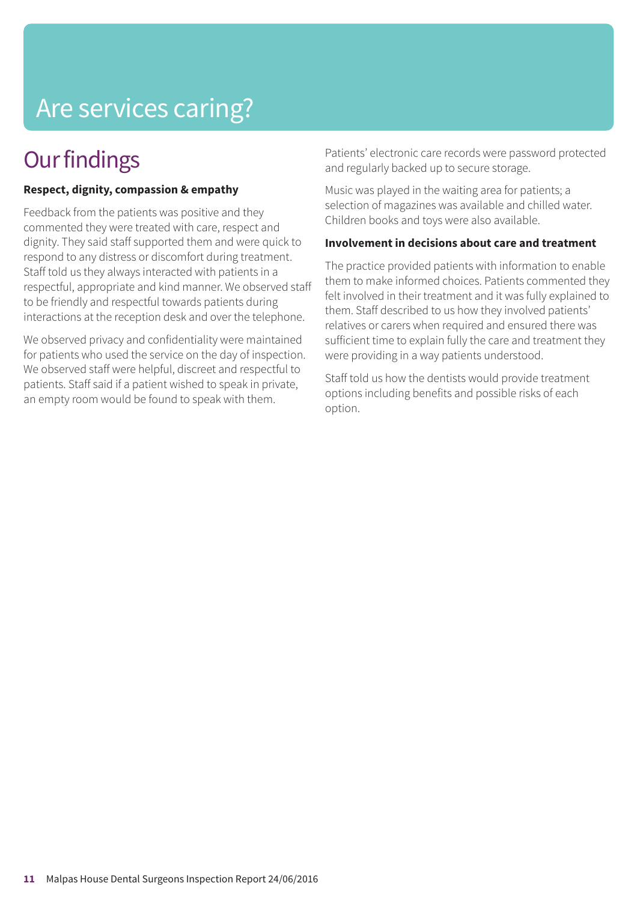# Are services caring?

### **Our findings**

#### **Respect, dignity, compassion & empathy**

Feedback from the patients was positive and they commented they were treated with care, respect and dignity. They said staff supported them and were quick to respond to any distress or discomfort during treatment. Staff told us they always interacted with patients in a respectful, appropriate and kind manner. We observed staff to be friendly and respectful towards patients during interactions at the reception desk and over the telephone.

We observed privacy and confidentiality were maintained for patients who used the service on the day of inspection. We observed staff were helpful, discreet and respectful to patients. Staff said if a patient wished to speak in private, an empty room would be found to speak with them.

Patients' electronic care records were password protected and regularly backed up to secure storage.

Music was played in the waiting area for patients; a selection of magazines was available and chilled water. Children books and toys were also available.

#### **Involvement in decisions about care and treatment**

The practice provided patients with information to enable them to make informed choices. Patients commented they felt involved in their treatment and it was fully explained to them. Staff described to us how they involved patients' relatives or carers when required and ensured there was sufficient time to explain fully the care and treatment they were providing in a way patients understood.

Staff told us how the dentists would provide treatment options including benefits and possible risks of each option.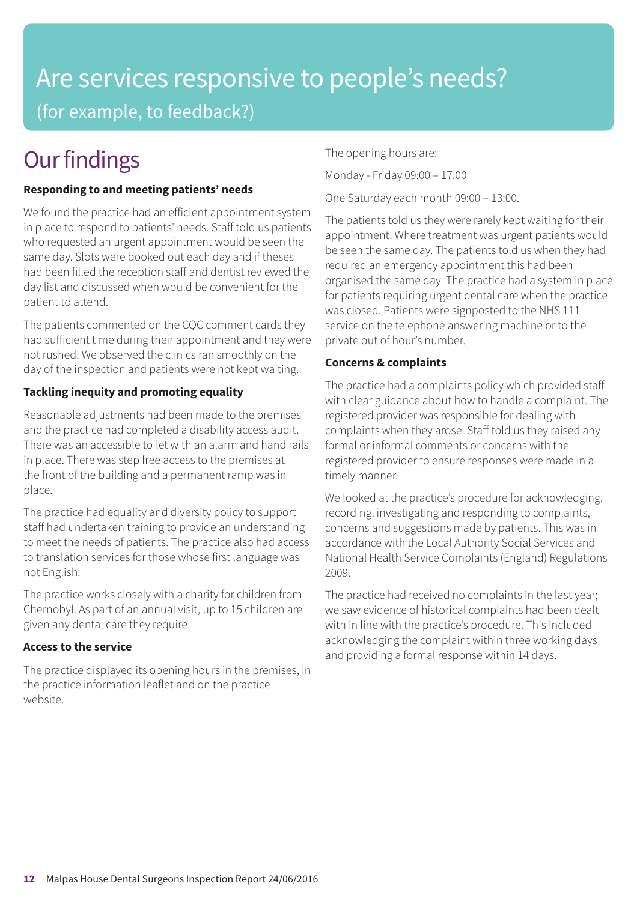# Are services responsive to people's needs? (for example, to feedback?)

# **Our findings**

#### **Responding to and meeting patients' needs**

We found the practice had an efficient appointment system in place to respond to patients' needs. Staff told us patients who requested an urgent appointment would be seen the same day. Slots were booked out each day and if theses had been filled the reception staff and dentist reviewed the day list and discussed when would be convenient for the patient to attend.

The patients commented on the CQC comment cards they had sufficient time during their appointment and they were not rushed. We observed the clinics ran smoothly on the day of the inspection and patients were not kept waiting.

#### **Tackling inequity and promoting equality**

Reasonable adjustments had been made to the premises and the practice had completed a disability access audit. There was an accessible toilet with an alarm and hand rails in place. There was step free access to the premises at the front of the building and a permanent ramp was in place.

The practice had equality and diversity policy to support staff had undertaken training to provide an understanding to meet the needs of patients. The practice also had access to translation services for those whose first language was not English.

The practice works closely with a charity for children from Chernobyl. As part of an annual visit, up to 15 children are given any dental care they require.

#### **Access to the service**

The practice displayed its opening hours in the premises, in the practice information leaflet and on the practice website.

The opening hours are:

Monday - Friday 09:00 – 17:00

One Saturday each month 09:00 – 13:00.

The patients told us they were rarely kept waiting for their appointment. Where treatment was urgent patients would be seen the same day. The patients told us when they had required an emergency appointment this had been organised the same day. The practice had a system in place for patients requiring urgent dental care when the practice was closed. Patients were signposted to the NHS 111 service on the telephone answering machine or to the private out of hour's number.

#### **Concerns & complaints**

The practice had a complaints policy which provided staff with clear guidance about how to handle a complaint. The registered provider was responsible for dealing with complaints when they arose. Staff told us they raised any formal or informal comments or concerns with the registered provider to ensure responses were made in a timely manner.

We looked at the practice's procedure for acknowledging, recording, investigating and responding to complaints, concerns and suggestions made by patients. This was in accordance with the Local Authority Social Services and National Health Service Complaints (England) Regulations 2009.

The practice had received no complaints in the last year; we saw evidence of historical complaints had been dealt with in line with the practice's procedure. This included acknowledging the complaint within three working days and providing a formal response within 14 days.